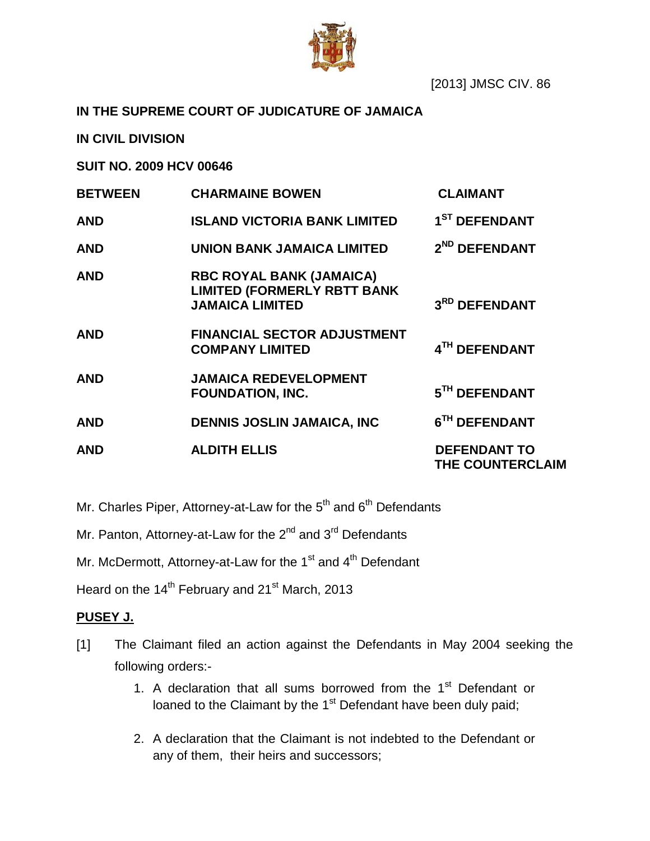

**IN THE SUPREME COURT OF JUDICATURE OF JAMAICA**

**IN CIVIL DIVISION**

**SUIT NO. 2009 HCV 00646**

| <b>BETWEEN</b> | <b>CHARMAINE BOWEN</b>                                                                          | <b>CLAIMANT</b>                         |
|----------------|-------------------------------------------------------------------------------------------------|-----------------------------------------|
| <b>AND</b>     | <b>ISLAND VICTORIA BANK LIMITED</b>                                                             | 1 <sup>ST</sup> DEFENDANT               |
| <b>AND</b>     | <b>UNION BANK JAMAICA LIMITED</b>                                                               | 2 <sup>ND</sup> DEFENDANT               |
| <b>AND</b>     | <b>RBC ROYAL BANK (JAMAICA)</b><br><b>LIMITED (FORMERLY RBTT BANK</b><br><b>JAMAICA LIMITED</b> | 3RD DEFENDANT                           |
| <b>AND</b>     | <b>FINANCIAL SECTOR ADJUSTMENT</b><br><b>COMPANY LIMITED</b>                                    | 4TH DEFENDANT                           |
| <b>AND</b>     | <b>JAMAICA REDEVELOPMENT</b><br><b>FOUNDATION, INC.</b>                                         | 5TH DEFENDANT                           |
| <b>AND</b>     | <b>DENNIS JOSLIN JAMAICA, INC</b>                                                               | 6TH DEFENDANT                           |
| <b>AND</b>     | <b>ALDITH ELLIS</b>                                                                             | <b>DEFENDANT TO</b><br>THE COUNTERCLAIM |

Mr. Charles Piper, Attorney-at-Law for the 5<sup>th</sup> and 6<sup>th</sup> Defendants

Mr. Panton, Attorney-at-Law for the 2<sup>nd</sup> and 3<sup>rd</sup> Defendants

Mr. McDermott, Attorney-at-Law for the 1<sup>st</sup> and 4<sup>th</sup> Defendant

Heard on the 14<sup>th</sup> February and 21<sup>st</sup> March, 2013

## **PUSEY J.**

- [1] The Claimant filed an action against the Defendants in May 2004 seeking the following orders:-
	- 1. A declaration that all sums borrowed from the  $1<sup>st</sup>$  Defendant or loaned to the Claimant by the 1<sup>st</sup> Defendant have been duly paid;
	- 2. A declaration that the Claimant is not indebted to the Defendant or any of them, their heirs and successors;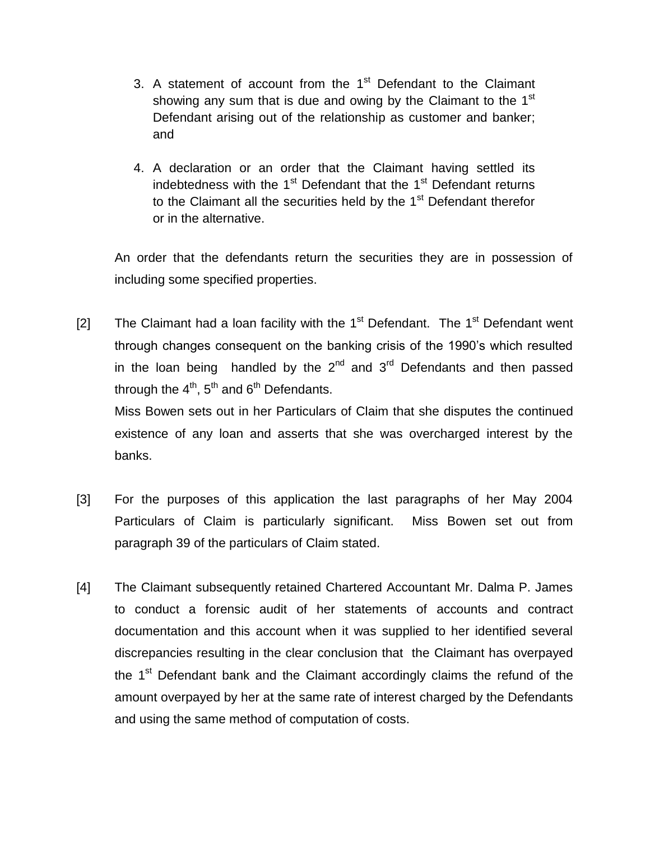- 3. A statement of account from the  $1<sup>st</sup>$  Defendant to the Claimant showing any sum that is due and owing by the Claimant to the  $1<sup>st</sup>$ Defendant arising out of the relationship as customer and banker; and
- 4. A declaration or an order that the Claimant having settled its indebtedness with the 1<sup>st</sup> Defendant that the 1<sup>st</sup> Defendant returns to the Claimant all the securities held by the 1<sup>st</sup> Defendant therefor or in the alternative.

An order that the defendants return the securities they are in possession of including some specified properties.

[2] The Claimant had a loan facility with the  $1<sup>st</sup>$  Defendant. The  $1<sup>st</sup>$  Defendant went through changes consequent on the banking crisis of the 1990"s which resulted in the loan being handled by the  $2^{nd}$  and  $3^{rd}$  Defendants and then passed through the  $4<sup>th</sup>$ ,  $5<sup>th</sup>$  and  $6<sup>th</sup>$  Defendants.

Miss Bowen sets out in her Particulars of Claim that she disputes the continued existence of any loan and asserts that she was overcharged interest by the banks.

- [3] For the purposes of this application the last paragraphs of her May 2004 Particulars of Claim is particularly significant. Miss Bowen set out from paragraph 39 of the particulars of Claim stated.
- [4] The Claimant subsequently retained Chartered Accountant Mr. Dalma P. James to conduct a forensic audit of her statements of accounts and contract documentation and this account when it was supplied to her identified several discrepancies resulting in the clear conclusion that the Claimant has overpayed the 1<sup>st</sup> Defendant bank and the Claimant accordingly claims the refund of the amount overpayed by her at the same rate of interest charged by the Defendants and using the same method of computation of costs.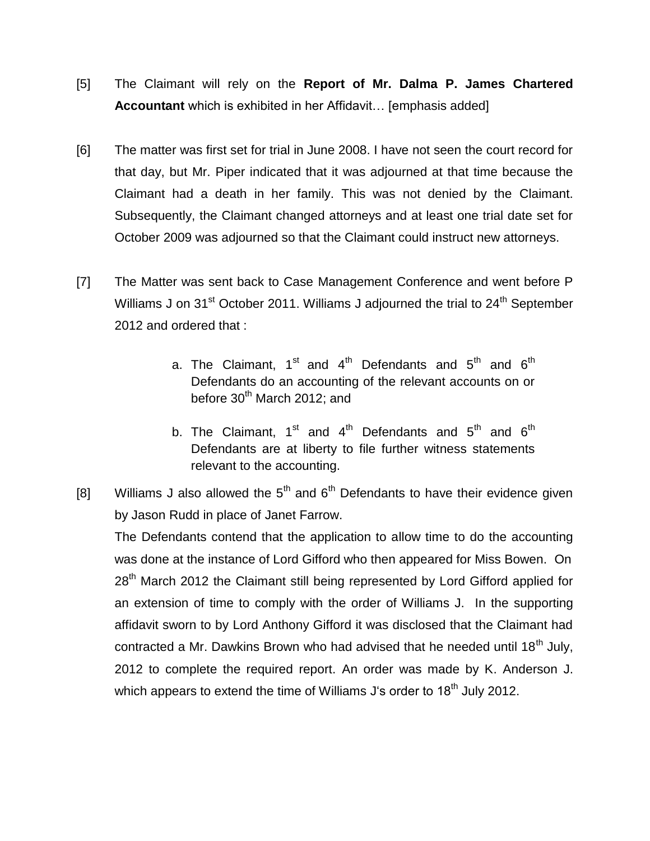- [5] The Claimant will rely on the **Report of Mr. Dalma P. James Chartered Accountant** which is exhibited in her Affidavit… [emphasis added]
- [6] The matter was first set for trial in June 2008. I have not seen the court record for that day, but Mr. Piper indicated that it was adjourned at that time because the Claimant had a death in her family. This was not denied by the Claimant. Subsequently, the Claimant changed attorneys and at least one trial date set for October 2009 was adjourned so that the Claimant could instruct new attorneys.
- [7] The Matter was sent back to Case Management Conference and went before P Williams J on 31<sup>st</sup> October 2011. Williams J adjourned the trial to 24<sup>th</sup> September 2012 and ordered that :
	- a. The Claimant,  $1^{st}$  and  $4^{th}$  Defendants and  $5^{th}$  and  $6^{th}$ Defendants do an accounting of the relevant accounts on or before 30<sup>th</sup> March 2012; and
	- b. The Claimant,  $1<sup>st</sup>$  and  $4<sup>th</sup>$  Defendants and  $5<sup>th</sup>$  and  $6<sup>th</sup>$ Defendants are at liberty to file further witness statements relevant to the accounting.
- [8] Williams J also allowed the  $5<sup>th</sup>$  and  $6<sup>th</sup>$  Defendants to have their evidence given by Jason Rudd in place of Janet Farrow.

The Defendants contend that the application to allow time to do the accounting was done at the instance of Lord Gifford who then appeared for Miss Bowen. On 28<sup>th</sup> March 2012 the Claimant still being represented by Lord Gifford applied for an extension of time to comply with the order of Williams J. In the supporting affidavit sworn to by Lord Anthony Gifford it was disclosed that the Claimant had contracted a Mr. Dawkins Brown who had advised that he needed until 18<sup>th</sup> July, 2012 to complete the required report. An order was made by K. Anderson J. which appears to extend the time of Williams J's order to 18<sup>th</sup> July 2012.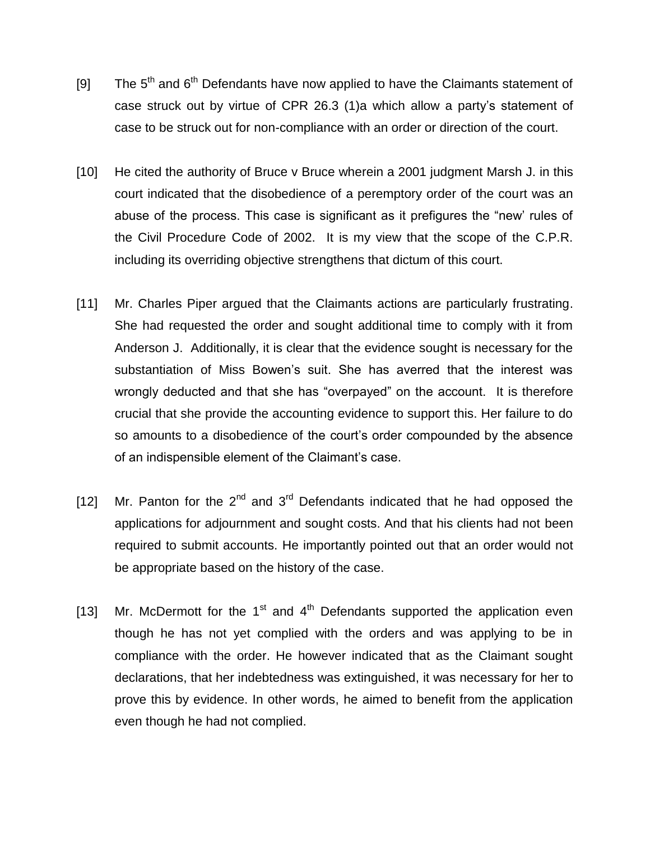- [9] The  $5<sup>th</sup>$  and  $6<sup>th</sup>$  Defendants have now applied to have the Claimants statement of case struck out by virtue of CPR 26.3 (1)a which allow a party"s statement of case to be struck out for non-compliance with an order or direction of the court.
- [10] He cited the authority of Bruce v Bruce wherein a 2001 judgment Marsh J. in this court indicated that the disobedience of a peremptory order of the court was an abuse of the process. This case is significant as it prefigures the "new" rules of the Civil Procedure Code of 2002. It is my view that the scope of the C.P.R. including its overriding objective strengthens that dictum of this court.
- [11] Mr. Charles Piper argued that the Claimants actions are particularly frustrating. She had requested the order and sought additional time to comply with it from Anderson J. Additionally, it is clear that the evidence sought is necessary for the substantiation of Miss Bowen's suit. She has averred that the interest was wrongly deducted and that she has "overpayed" on the account. It is therefore crucial that she provide the accounting evidence to support this. Her failure to do so amounts to a disobedience of the court's order compounded by the absence of an indispensible element of the Claimant"s case.
- [12] Mr. Panton for the  $2^{nd}$  and  $3^{rd}$  Defendants indicated that he had opposed the applications for adjournment and sought costs. And that his clients had not been required to submit accounts. He importantly pointed out that an order would not be appropriate based on the history of the case.
- [13] Mr. McDermott for the 1<sup>st</sup> and 4<sup>th</sup> Defendants supported the application even though he has not yet complied with the orders and was applying to be in compliance with the order. He however indicated that as the Claimant sought declarations, that her indebtedness was extinguished, it was necessary for her to prove this by evidence. In other words, he aimed to benefit from the application even though he had not complied.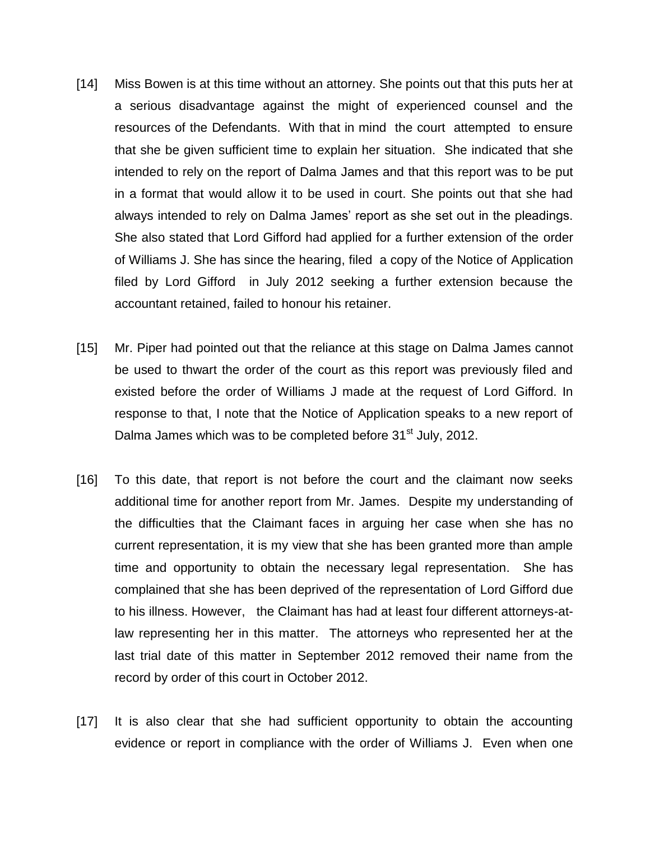- [14] Miss Bowen is at this time without an attorney. She points out that this puts her at a serious disadvantage against the might of experienced counsel and the resources of the Defendants. With that in mind the court attempted to ensure that she be given sufficient time to explain her situation. She indicated that she intended to rely on the report of Dalma James and that this report was to be put in a format that would allow it to be used in court. She points out that she had always intended to rely on Dalma James" report as she set out in the pleadings. She also stated that Lord Gifford had applied for a further extension of the order of Williams J. She has since the hearing, filed a copy of the Notice of Application filed by Lord Gifford in July 2012 seeking a further extension because the accountant retained, failed to honour his retainer.
- [15] Mr. Piper had pointed out that the reliance at this stage on Dalma James cannot be used to thwart the order of the court as this report was previously filed and existed before the order of Williams J made at the request of Lord Gifford. In response to that, I note that the Notice of Application speaks to a new report of Dalma James which was to be completed before 31<sup>st</sup> July, 2012.
- [16] To this date, that report is not before the court and the claimant now seeks additional time for another report from Mr. James. Despite my understanding of the difficulties that the Claimant faces in arguing her case when she has no current representation, it is my view that she has been granted more than ample time and opportunity to obtain the necessary legal representation. She has complained that she has been deprived of the representation of Lord Gifford due to his illness. However, the Claimant has had at least four different attorneys-atlaw representing her in this matter. The attorneys who represented her at the last trial date of this matter in September 2012 removed their name from the record by order of this court in October 2012.
- [17] It is also clear that she had sufficient opportunity to obtain the accounting evidence or report in compliance with the order of Williams J. Even when one